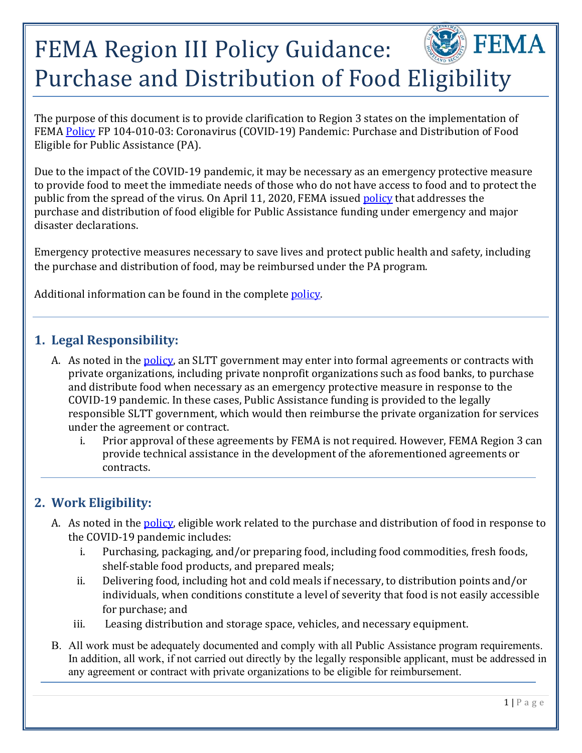# $\mathbb{\hat{F}}$  FEMA FEMA Region III Policy Guidance: Purchase and Distribution of Food Eligibility

The purpose of this document is to provide clarification to Region 3 states on the implementation of FEMA [Policy](https://www.fema.gov/news-release/2020/04/12/coronavirus-covid-19-pandemic-purchase-and-distribution-food-eligible-public) FP 104-010-03: Coronavirus (COVID-19) Pandemic: Purchase and Distribution of Food Eligible for Public Assistance (PA).

Due to the impact of the COVID-19 pandemic, it may be necessary as an emergency protective measure to provide food to meet the immediate needs of those who do not have access to food and to protect the public from the spread of the virus. On April 11, 2020, FEMA issued [policy](https://www.fema.gov/news-release/2020/04/12/coronavirus-covid-19-pandemic-purchase-and-distribution-food-eligible-public) that addresses the purchase and distribution of food eligible for Public Assistance funding under emergency and major disaster declarations.

Emergency protective measures necessary to save lives and protect public health and safety, including the purchase and distribution of food, may be reimbursed under the PA program.

Additional information can be found in the complete policy.

#### **1. Legal Responsibility:**

- A. As noted in the **policy**, an SLTT government may enter into formal agreements or contracts with private organizations, including private nonprofit organizations such as food banks, to purchase and distribute food when necessary as an emergency protective measure in response to the COVID-19 pandemic. In these cases, Public Assistance funding is provided to the legally responsible SLTT government, which would then reimburse the private organization for services under the agreement or contract.<br>i. Prior annoyal of these agreement
	- Prior approval of these agreements by FEMA is not required. However, FEMA Region 3 can provide technical assistance in the development of the aforementioned agreements or contracts.

# **2. Work Eligibility:**

- A. As noted in the **policy**, eligible work related to the purchase and distribution of food in response to the COVID-19 pandemic includes:
	- i. Purchasing, packaging, and/or preparing food, including food commodities, fresh foods, shelf-stable food products, and prepared meals;
	- ii. Delivering food, including hot and cold meals if necessary, to distribution points and/or individuals, when conditions constitute a level of severity that food is not easily accessible for purchase; and
	- iii. Leasing distribution and storage space, vehicles, and necessary equipment.
- B. All work must be adequately documented and comply with all Public Assistance program requirements. In addition, all work, if not carried out directly by the legally responsible applicant, must be addressed in any agreement or contract with private organizations to be eligible for reimbursement.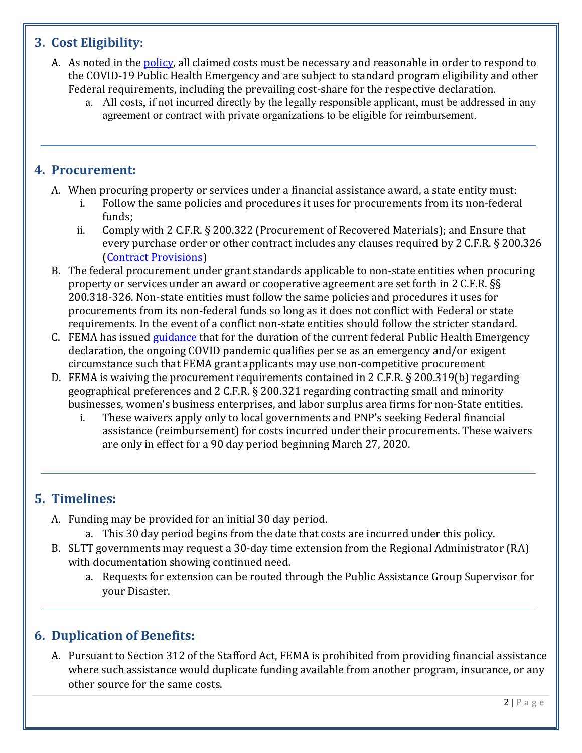## **3. Cost Eligibility:**

- A. As noted in the **policy**, all claimed costs must be necessary and reasonable in order to respond to the COVID-19 Public Health Emergency and are subject to standard program eligibility and other Federal requirements, including the prevailing cost-share for the respective declaration.
	- a. All costs, if not incurred directly by the legally responsible applicant, must be addressed in any agreement or contract with private organizations to be eligible for reimbursement.

#### **4. Procurement:**

- A. When procuring property or services under a financial assistance award, a state entity must:<br>i. Follow the same policies and procedures it uses for procurements from its non-federa
	- Follow the same policies and procedures it uses for procurements from its non-federal funds;
	- ii. Comply with 2 C.F.R. § 200.322 (Procurement of Recovered Materials); and Ensure that every purchase order or other contract includes any clauses required by 2 C.F.R. § 200.326 [\(Contract Provisions\)](https://www.fema.gov/media-library-data/1569959119092-92358d63e00d17639d5db4de015184c9/PDAT_ContractProvisionsTemplate_9-30-19.pdf)
- B. The federal procurement under grant standards applicable to non-state entities when procuring property or services under an award or cooperative agreement are set forth in 2 C.F.R. §§ 200.318-326. Non-state entities must follow the same policies and procedures it uses for procurements from its non-federal funds so long as it does not conflict with Federal or state requirements. In the event of a conflict non-state entities should follow the stricter standard.
- C. FEMA has issued [guidance](https://www.fema.gov/news-release/2020/03/20/procurement-under-grants-under-exigent-or-emergency-circumstances) that for the duration of the current federal Public Health Emergency declaration, the ongoing COVID pandemic qualifies per se as an emergency and/or exigent circumstance such that FEMA grant applicants may use non-competitive procurement
- D. FEMA is waiving the procurement requirements contained in 2 C.F.R. § 200.319(b) regarding geographical preferences and 2 C.F.R. § 200.321 regarding contracting small and minority businesses, women's business enterprises, and labor surplus area firms for non-State entities.<br>i. These waivers apply only to local governments and PNP's seeking Federal financial
	- i. These waivers apply only to local governments and PNP's seeking Federal financial assistance (reimbursement) for costs incurred under their procurements. These waivers are only in effect for a 90 day period beginning March 27, 2020.

# **5. Timelines:**

- A. Funding may be provided for an initial 30 day period.
	- a. This 30 day period begins from the date that costs are incurred under this policy.
- B. SLTT governments may request a 30-day time extension from the Regional Administrator (RA) with documentation showing continued need.
	- a. Requests for extension can be routed through the Public Assistance Group Supervisor for your Disaster.

### **6. Duplication of Benefits:**

A. Pursuant to Section 312 of the Stafford Act, FEMA is prohibited from providing financial assistance where such assistance would duplicate funding available from another program, insurance, or any other source for the same costs.